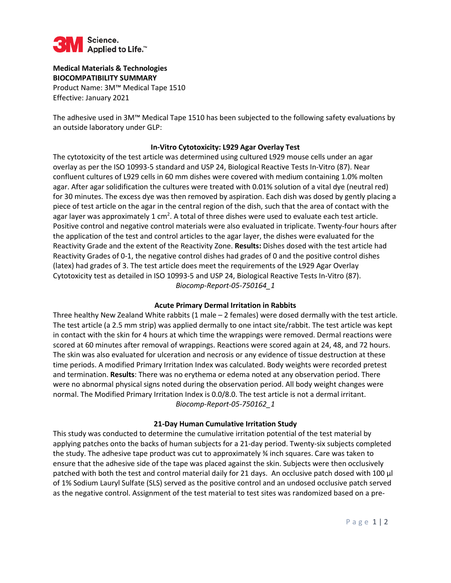

**Medical Materials & Technologies BIOCOMPATIBILITY SUMMARY**  Product Name: 3M™ Medical Tape 1510 Effective: January 2021

The adhesive used in 3M™ Medical Tape 1510 has been subjected to the following safety evaluations by an outside laboratory under GLP:

## **In-Vitro Cytotoxicity: L929 Agar Overlay Test**

The cytotoxicity of the test article was determined using cultured L929 mouse cells under an agar overlay as per the ISO 10993-5 standard and USP 24, Biological Reactive Tests In-Vitro (87). Near confluent cultures of L929 cells in 60 mm dishes were covered with medium containing 1.0% molten agar. After agar solidification the cultures were treated with 0.01% solution of a vital dye (neutral red) for 30 minutes. The excess dye was then removed by aspiration. Each dish was dosed by gently placing a piece of test article on the agar in the central region of the dish, such that the area of contact with the agar layer was approximately 1 cm<sup>2</sup>. A total of three dishes were used to evaluate each test article. Positive control and negative control materials were also evaluated in triplicate. Twenty-four hours after the application of the test and control articles to the agar layer, the dishes were evaluated for the Reactivity Grade and the extent of the Reactivity Zone. **Results:** Dishes dosed with the test article had Reactivity Grades of 0-1, the negative control dishes had grades of 0 and the positive control dishes (latex) had grades of 3. The test article does meet the requirements of the L929 Agar Overlay Cytotoxicity test as detailed in ISO 10993-5 and USP 24, Biological Reactive Tests In-Vitro (87). *Biocomp-Report-05-750164\_1*

## **Acute Primary Dermal Irritation in Rabbits**

Three healthy New Zealand White rabbits (1 male – 2 females) were dosed dermally with the test article. The test article (a 2.5 mm strip) was applied dermally to one intact site/rabbit. The test article was kept in contact with the skin for 4 hours at which time the wrappings were removed. Dermal reactions were scored at 60 minutes after removal of wrappings. Reactions were scored again at 24, 48, and 72 hours. The skin was also evaluated for ulceration and necrosis or any evidence of tissue destruction at these time periods. A modified Primary Irritation Index was calculated. Body weights were recorded pretest and termination. **Results**: There was no erythema or edema noted at any observation period. There were no abnormal physical signs noted during the observation period. All body weight changes were normal. The Modified Primary Irritation Index is 0.0/8.0. The test article is not a dermal irritant. *Biocomp-Report-05-750162\_1* 

## **21-Day Human Cumulative Irritation Study**

This study was conducted to determine the cumulative irritation potential of the test material by applying patches onto the backs of human subjects for a 21-day period. Twenty-six subjects completed the study. The adhesive tape product was cut to approximately ¾ inch squares. Care was taken to ensure that the adhesive side of the tape was placed against the skin. Subjects were then occlusively patched with both the test and control material daily for 21 days. An occlusive patch dosed with 100 µl of 1% Sodium Lauryl Sulfate (SLS) served as the positive control and an undosed occlusive patch served as the negative control. Assignment of the test material to test sites was randomized based on a pre-